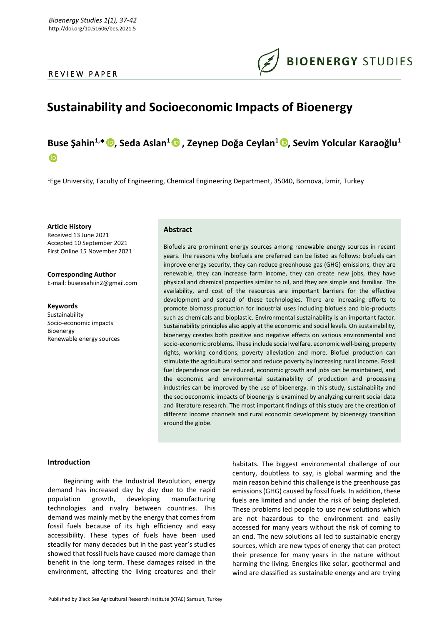### REVIEW PAPER



# **Sustainability and Socioeconomic Impacts of Bioenergy**

## **Buse Şahin1,\* , Seda Aslan<sup>1</sup> , Zeynep Doğa Ceylan<sup>1</sup> [,](https://orcid.org/0000-0002-3013-7919) Sevim Yolcular Karaoğlu<sup>1</sup>**  $\bullet$

<sup>1</sup>Ege University, Faculty of Engineering, Chemical Engineering Department, 35040, Bornova, İzmir, Turkey

**Article History** Received 13 June 2021 Accepted 10 September 2021 First Online 15 November 2021

**Corresponding Author** E-mail: buseesahiin2@gmail.com

**Keywords**

Sustainability Socio-economic impacts Bioenergy Renewable energy sources

#### **Abstract**

Biofuels are prominent energy sources among renewable energy sources in recent years. The reasons why biofuels are preferred can be listed as follows: biofuels can improve energy security, they can reduce greenhouse gas (GHG) emissions, they are renewable, they can increase farm income, they can create new jobs, they have physical and chemical properties similar to oil, and they are simple and familiar. The availability, and cost of the resources are important barriers for the effective development and spread of these technologies. There are increasing efforts to promote biomass production for industrial uses including biofuels and bio-products such as chemicals and bioplastic. Environmental sustainability is an important factor. Sustainability principles also apply at the economic and social levels. On sustainability, bioenergy creates both positive and negative effects on various environmental and socio-economic problems. These include social welfare, economic well-being, property rights, working conditions, poverty alleviation and more. Biofuel production can stimulate the agricultural sector and reduce poverty by increasing rural income. Fossil fuel dependence can be reduced, economic growth and jobs can be maintained, and the economic and environmental sustainability of production and processing industries can be improved by the use of bioenergy. In this study, sustainability and the socioeconomic impacts of bioenergy is examined by analyzing current social data and literature research. The most important findings of this study are the creation of different income channels and rural economic development by bioenergy transition around the globe.

#### **Introduction**

Beginning with the Industrial Revolution, energy demand has increased day by day due to the rapid population growth, developing manufacturing technologies and rivalry between countries. This demand was mainly met by the energy that comes from fossil fuels because of its high efficiency and easy accessibility. These types of fuels have been used steadily for many decades but in the past year's studies showed that fossil fuels have caused more damage than benefit in the long term. These damages raised in the environment, affecting the living creatures and their habitats. The biggest environmental challenge of our century, doubtless to say, is global warming and the main reason behind this challenge is the greenhouse gas emissions (GHG) caused by fossil fuels. In addition, these fuels are limited and under the risk of being depleted. These problems led people to use new solutions which are not hazardous to the environment and easily accessed for many years without the risk of coming to an end. The new solutions all led to sustainable energy sources, which are new types of energy that can protect their presence for many years in the nature without harming the living. Energies like solar, geothermal and wind are classified as sustainable energy and are trying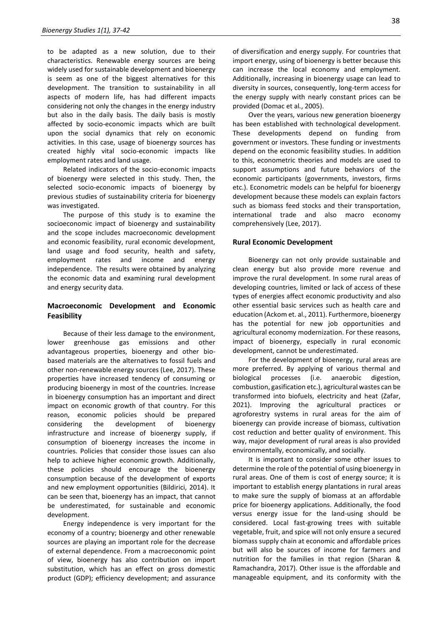to be adapted as a new solution, due to their characteristics. Renewable energy sources are being widely used for sustainable development and bioenergy is seem as one of the biggest alternatives for this development. The transition to sustainability in all aspects of modern life, has had different impacts considering not only the changes in the energy industry but also in the daily basis. The daily basis is mostly affected by socio-economic impacts which are built upon the social dynamics that rely on economic activities. In this case, usage of bioenergy sources has created highly vital socio-economic impacts like employment rates and land usage.

Related indicators of the socio-economic impacts of bioenergy were selected in this study. Then, the selected socio-economic impacts of bioenergy by previous studies of sustainability criteria for bioenergy was investigated.

The purpose of this study is to examine the socioeconomic impact of bioenergy and sustainability and the scope includes macroeconomic development and economic feasibility, rural economic development, land usage and food security, health and safety, employment rates and income and energy independence. The results were obtained by analyzing the economic data and examining rural development and energy security data.

## **Macroeconomic Development and Economic Feasibility**

Because of their less damage to the environment, lower greenhouse gas emissions and other advantageous properties, bioenergy and other biobased materials are the alternatives to fossil fuels and other non-renewable energy sources (Lee, 2017). These properties have increased tendency of consuming or producing bioenergy in most of the countries. Increase in bioenergy consumption has an important and direct impact on economic growth of that country. For this reason, economic policies should be prepared considering the development of bioenergy infrastructure and increase of bioenergy supply, if consumption of bioenergy increases the income in countries. Policies that consider those issues can also help to achieve higher economic growth. Additionally, these policies should encourage the bioenergy consumption because of the development of exports and new employment opportunities (Bildirici, 2014). It can be seen that, bioenergy has an impact, that cannot be underestimated, for sustainable and economic development.

Energy independence is very important for the economy of a country; bioenergy and other renewable sources are playing an important role for the decrease of external dependence. From a macroeconomic point of view, bioenergy has also contribution on import substitution, which has an effect on gross domestic product (GDP); efficiency development; and assurance of diversification and energy supply. For countries that import energy, using of bioenergy is better because this can increase the local economy and employment. Additionally, increasing in bioenergy usage can lead to diversity in sources, consequently, long-term access for the energy supply with nearly constant prices can be provided (Domac et al*.*, 2005).

Over the years, various new generation bioenergy has been established with technological development. These developments depend on funding from government or investors. These funding or investments depend on the economic feasibility studies. In addition to this, econometric theories and models are used to support assumptions and future behaviors of the economic participants (governments, investors, firms etc.). Econometric models can be helpful for bioenergy development because these models can explain factors such as biomass feed stocks and their transportation, international trade and also macro economy comprehensively (Lee, 2017).

#### **Rural Economic Development**

Bioenergy can not only provide sustainable and clean energy but also provide more revenue and improve the rural development. In some rural areas of developing countries, limited or lack of access of these types of energies affect economic productivity and also other essential basic services such as health care and education (Ackom et. al., 2011). Furthermore, bioenergy has the potential for new job opportunities and agricultural economy modernization. For these reasons, impact of bioenergy, especially in rural economic development, cannot be underestimated.

For the development of bioenergy, rural areas are more preferred. By applying of various thermal and biological processes (i.e. anaerobic digestion, combustion, gasification etc.), agricultural wastes can be transformed into biofuels, electricity and heat (Zafar, 2021). Improving the agricultural practices or agroforestry systems in rural areas for the aim of bioenergy can provide increase of biomass, cultivation cost reduction and better quality of environment. This way, major development of rural areas is also provided environmentally, economically, and socially.

It is important to consider some other issues to determine the role of the potential of using bioenergy in rural areas. One of them is cost of energy source; it is important to establish energy plantations in rural areas to make sure the supply of biomass at an affordable price for bioenergy applications. Additionally, the food versus energy issue for the land-using should be considered. Local fast-growing trees with suitable vegetable, fruit, and spice will not only ensure a secured biomass supply chain at economic and affordable prices but will also be sources of income for farmers and nutrition for the families in that region (Sharan & Ramachandra, 2017). Other issue is the affordable and manageable equipment, and its conformity with the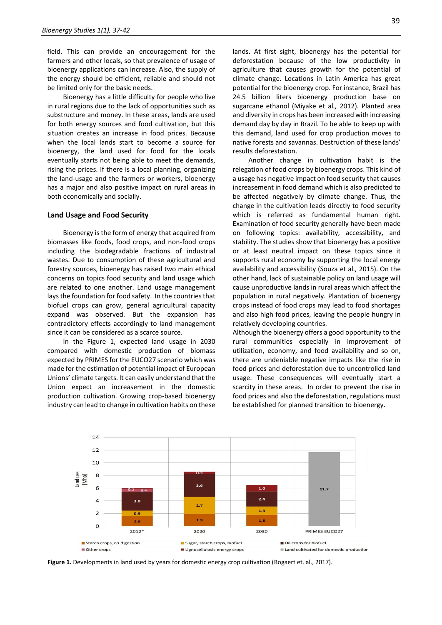field. This can provide an encouragement for the farmers and other locals, so that prevalence of usage of bioenergy applications can increase. Also, the supply of the energy should be efficient, reliable and should not be limited only for the basic needs.

Bioenergy has a little difficulty for people who live in rural regions due to the lack of opportunities such as substructure and money. In these areas, lands are used for both energy sources and food cultivation, but this situation creates an increase in food prices. Because when the local lands start to become a source for bioenergy, the land used for food for the locals eventually starts not being able to meet the demands, rising the prices. If there is a local planning, organizing the land-usage and the farmers or workers, bioenergy has a major and also positive impact on rural areas in both economically and socially.

#### **Land Usage and Food Security**

Bioenergy is the form of energy that acquired from biomasses like foods, food crops, and non-food crops including the biodegradable fractions of industrial wastes. Due to consumption of these agricultural and forestry sources, bioenergy has raised two main ethical concerns on topics food security and land usage which are related to one another. Land usage management lays the foundation for food safety. In the countries that biofuel crops can grow, general agricultural capacity expand was observed. But the expansion has contradictory effects accordingly to land management since it can be considered as a scarce source.

In the Figure 1, expected land usage in 2030 compared with domestic production of biomass expected by PRIMES for the EUCO27 scenario which was made for the estimation of potential impact of European Unions' climate targets. It can easily understand that the Union expect an increasement in the domestic production cultivation. Growing crop-based bioenergy industry can lead to change in cultivation habits on these lands. At first sight, bioenergy has the potential for deforestation because of the low productivity in agriculture that causes growth for the potential of climate change. Locations in Latin America has great potential for the bioenergy crop. For instance, Brazil has 24.5 billion liters bioenergy production base on sugarcane ethanol (Miyake et al*.,* 2012). Planted area and diversity in crops has been increased with increasing demand day by day in Brazil. To be able to keep up with this demand, land used for crop production moves to native forests and savannas. Destruction of these lands' results deforestation.

Another change in cultivation habit is the relegation of food crops by bioenergy crops. This kind of a usage has negative impact on food security that causes increasement in food demand which is also predicted to be affected negatively by climate change. Thus, the change in the cultivation leads directly to food security which is referred as fundamental human right. Examination of food security generally have been made on following topics: availability, accessibility, and stability. The studies show that bioenergy has a positive or at least neutral impact on these topics since it supports rural economy by supporting the local energy availability and accessibility (Souza et al*.,* 2015). On the other hand, lack of sustainable policy on land usage will cause unproductive lands in rural areas which affect the population in rural negatively. Plantation of bioenergy crops instead of food crops may lead to food shortages and also high food prices, leaving the people hungry in relatively developing countries.

Although the bioenergy offers a good opportunity to the rural communities especially in improvement of utilization, economy, and food availability and so on, there are undeniable negative impacts like the rise in food prices and deforestation due to uncontrolled land usage. These consequences will eventually start a scarcity in these areas. In order to prevent the rise in food prices and also the deforestation, regulations must be established for planned transition to bioenergy.



**Figure 1.** Developments in land used by years for domestic energy crop cultivation (Bogaert et. al., 2017).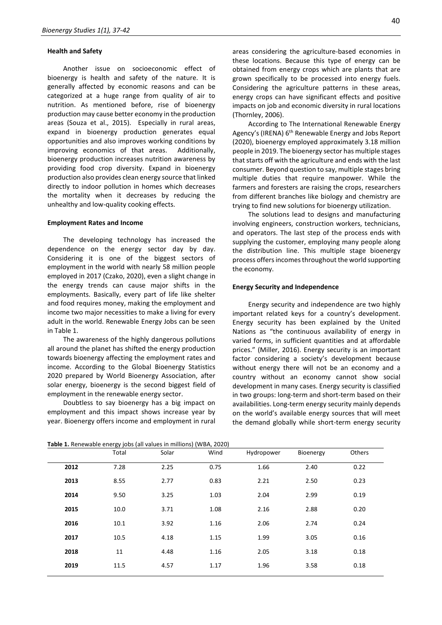#### **Health and Safety**

Another issue on socioeconomic effect of bioenergy is health and safety of the nature. It is generally affected by economic reasons and can be categorized at a huge range from quality of air to nutrition. As mentioned before, rise of bioenergy production may cause better economy in the production areas (Souza et al., 2015). Especially in rural areas, expand in bioenergy production generates equal opportunities and also improves working conditions by improving economics of that areas. Additionally, bioenergy production increases nutrition awareness by providing food crop diversity. Expand in bioenergy production also provides clean energy source that linked directly to indoor pollution in homes which decreases the mortality when it decreases by reducing the unhealthy and low-quality cooking effects.

#### **Employment Rates and Income**

The developing technology has increased the dependence on the energy sector day by day. Considering it is one of the biggest sectors of employment in the world with nearly 58 million people employed in 2017 (Czako, 2020), even a slight change in the energy trends can cause major shifts in the employments. Basically, every part of life like shelter and food requires money, making the employment and income two major necessities to make a living for every adult in the world. Renewable Energy Jobs can be seen in Table 1.

The awareness of the highly dangerous pollutions all around the planet has shifted the energy production towards bioenergy affecting the employment rates and income. According to the Global Bioenergy Statistics 2020 prepared by World Bioenergy Association, after solar energy, bioenergy is the second biggest field of employment in the renewable energy sector.

Doubtless to say bioenergy has a big impact on employment and this impact shows increase year by year. Bioenergy offers income and employment in rural

areas considering the agriculture-based economies in these locations. Because this type of energy can be obtained from energy crops which are plants that are grown specifically to be processed into energy fuels. Considering the agriculture patterns in these areas, energy crops can have significant effects and positive impacts on job and economic diversity in rural locations (Thornley, 2006).

According to The International Renewable Energy Agency's (IRENA) 6<sup>th</sup> Renewable Energy and Jobs Report (2020), bioenergy employed approximately 3.18 million people in 2019. The bioenergy sector has multiple stages that starts off with the agriculture and ends with the last consumer. Beyond question to say, multiple stages bring multiple duties that require manpower. While the farmers and foresters are raising the crops, researchers from different branches like biology and chemistry are trying to find new solutions for bioenergy utilization.

The solutions lead to designs and manufacturing involving engineers, construction workers, technicians, and operators. The last step of the process ends with supplying the customer, employing many people along the distribution line. This multiple stage bioenergy process offers incomes throughout the world supporting the economy.

#### **Energy Security and Independence**

Energy security and independence are two highly important related keys for a country's development. Energy security has been explained by the United Nations as "the continuous availability of energy in varied forms, in sufficient quantities and at affordable prices." (Miller, 2016). Energy security is an important factor considering a society's development because without energy there will not be an economy and a country without an economy cannot show social development in many cases. Energy security is classified in two groups: long-term and short-term based on their availabilities. Long-term energy security mainly depends on the world's available energy sources that will meet the demand globally while short-term energy security

|      | Total | Solar | Wind | Hydropower | Bioenergy | Others |
|------|-------|-------|------|------------|-----------|--------|
| 2012 | 7.28  | 2.25  | 0.75 | 1.66       | 2.40      | 0.22   |
| 2013 | 8.55  | 2.77  | 0.83 | 2.21       | 2.50      | 0.23   |
| 2014 | 9.50  | 3.25  | 1.03 | 2.04       | 2.99      | 0.19   |
| 2015 | 10.0  | 3.71  | 1.08 | 2.16       | 2.88      | 0.20   |
| 2016 | 10.1  | 3.92  | 1.16 | 2.06       | 2.74      | 0.24   |
| 2017 | 10.5  | 4.18  | 1.15 | 1.99       | 3.05      | 0.16   |
| 2018 | 11    | 4.48  | 1.16 | 2.05       | 3.18      | 0.18   |
| 2019 | 11.5  | 4.57  | 1.17 | 1.96       | 3.58      | 0.18   |

**Table 1.** Renewable energy jobs (all values in millions) (WBA, 2020)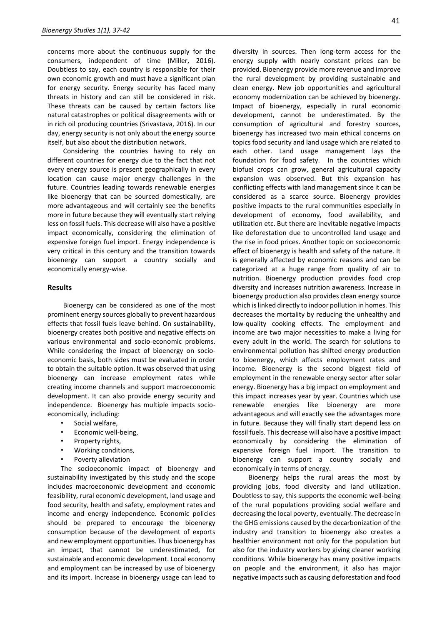concerns more about the continuous supply for the consumers, independent of time (Miller, 2016). Doubtless to say, each country is responsible for their own economic growth and must have a significant plan for energy security. Energy security has faced many threats in history and can still be considered in risk. These threats can be caused by certain factors like natural catastrophes or political disagreements with or in rich oil producing countries (Srivastava, 2016). In our day, energy security is not only about the energy source itself, but also about the distribution network.

Considering the countries having to rely on different countries for energy due to the fact that not every energy source is present geographically in every location can cause major energy challenges in the future. Countries leading towards renewable energies like bioenergy that can be sourced domestically, are more advantageous and will certainly see the benefits more in future because they will eventually start relying less on fossil fuels. This decrease will also have a positive impact economically, considering the elimination of expensive foreign fuel import. Energy independence is very critical in this century and the transition towards bioenergy can support a country socially and economically energy-wise.

#### **Results**

Bioenergy can be considered as one of the most prominent energy sources globally to prevent hazardous effects that fossil fuels leave behind. On sustainability, bioenergy creates both positive and negative effects on various environmental and socio-economic problems. While considering the impact of bioenergy on socioeconomic basis, both sides must be evaluated in order to obtain the suitable option. It was observed that using bioenergy can increase employment rates while creating income channels and support macroeconomic development. It can also provide energy security and independence. Bioenergy has multiple impacts socioeconomically, including:

- Social welfare,
- Economic well-being,
- Property rights,
- Working conditions,
- Poverty alleviation

The socioeconomic impact of bioenergy and sustainability investigated by this study and the scope includes macroeconomic development and economic feasibility, rural economic development, land usage and food security, health and safety, employment rates and income and energy independence. Economic policies should be prepared to encourage the bioenergy consumption because of the development of exports and new employment opportunities. Thus bioenergy has an impact, that cannot be underestimated, for sustainable and economic development. Local economy and employment can be increased by use of bioenergy and its import. Increase in bioenergy usage can lead to

diversity in sources. Then long-term access for the energy supply with nearly constant prices can be provided. Bioenergy provide more revenue and improve the rural development by providing sustainable and clean energy. New job opportunities and agricultural economy modernization can be achieved by bioenergy. Impact of bioenergy, especially in rural economic development, cannot be underestimated. By the consumption of agricultural and forestry sources, bioenergy has increased two main ethical concerns on topics food security and land usage which are related to each other. Land usage management lays the foundation for food safety. In the countries which biofuel crops can grow, general agricultural capacity expansion was observed. But this expansion has conflicting effects with land management since it can be considered as a scarce source. Bioenergy provides positive impacts to the rural communities especially in development of economy, food availability, and utilization etc. But there are inevitable negative impacts like deforestation due to uncontrolled land usage and the rise in food prices. Another topic on socioeconomic effect of bioenergy is health and safety of the nature. It is generally affected by economic reasons and can be categorized at a huge range from quality of air to nutrition. Bioenergy production provides food crop diversity and increases nutrition awareness. Increase in bioenergy production also provides clean energy source which is linked directly to indoor pollution in homes. This decreases the mortality by reducing the unhealthy and low-quality cooking effects. The employment and income are two major necessities to make a living for every adult in the world. The search for solutions to environmental pollution has shifted energy production to bioenergy, which affects employment rates and income. Bioenergy is the second biggest field of employment in the renewable energy sector after solar energy. Bioenergy has a big impact on employment and this impact increases year by year. Countries which use renewable energies like bioenergy are more advantageous and will exactly see the advantages more in future. Because they will finally start depend less on fossil fuels. This decrease will also have a positive impact economically by considering the elimination of expensive foreign fuel import. The transition to bioenergy can support a country socially and economically in terms of energy.

Bioenergy helps the rural areas the most by providing jobs, food diversity and land utilization. Doubtless to say, this supports the economic well-being of the rural populations providing social welfare and decreasing the local poverty, eventually. The decrease in the GHG emissions caused by the decarbonization of the industry and transition to bioenergy also creates a healthier environment not only for the population but also for the industry workers by giving cleaner working conditions. While bioenergy has many positive impacts on people and the environment, it also has major negative impacts such as causing deforestation and food